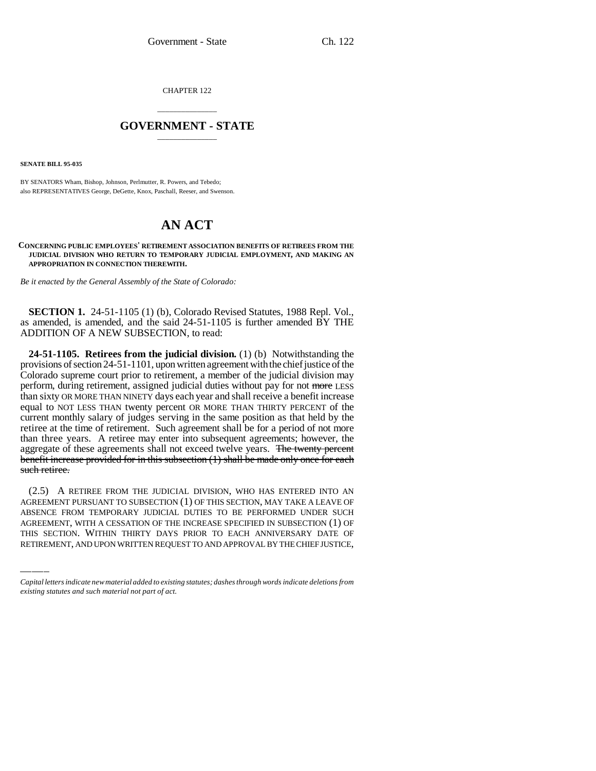CHAPTER 122

## \_\_\_\_\_\_\_\_\_\_\_\_\_\_\_ **GOVERNMENT - STATE** \_\_\_\_\_\_\_\_\_\_\_\_\_\_\_

**SENATE BILL 95-035**

BY SENATORS Wham, Bishop, Johnson, Perlmutter, R. Powers, and Tebedo; also REPRESENTATIVES George, DeGette, Knox, Paschall, Reeser, and Swenson.

## **AN ACT**

**CONCERNING PUBLIC EMPLOYEES' RETIREMENT ASSOCIATION BENEFITS OF RETIREES FROM THE JUDICIAL DIVISION WHO RETURN TO TEMPORARY JUDICIAL EMPLOYMENT, AND MAKING AN APPROPRIATION IN CONNECTION THEREWITH.**

*Be it enacted by the General Assembly of the State of Colorado:*

**SECTION 1.** 24-51-1105 (1) (b), Colorado Revised Statutes, 1988 Repl. Vol., as amended, is amended, and the said 24-51-1105 is further amended BY THE ADDITION OF A NEW SUBSECTION, to read:

**24-51-1105. Retirees from the judicial division.** (1) (b) Notwithstanding the provisions of section 24-51-1101, upon written agreement with the chief justice of the Colorado supreme court prior to retirement, a member of the judicial division may perform, during retirement, assigned judicial duties without pay for not more LESS than sixty OR MORE THAN NINETY days each year and shall receive a benefit increase equal to NOT LESS THAN twenty percent OR MORE THAN THIRTY PERCENT of the current monthly salary of judges serving in the same position as that held by the retiree at the time of retirement. Such agreement shall be for a period of not more than three years. A retiree may enter into subsequent agreements; however, the aggregate of these agreements shall not exceed twelve years. The twenty percent benefit increase provided for in this subsection (1) shall be made only once for each such retiree.

AGREEMENT PURSUANT TO SUBSECTION (1) OF THIS SECTION, MAY TAKE A LEAVE OF (2.5) A RETIREE FROM THE JUDICIAL DIVISION, WHO HAS ENTERED INTO AN ABSENCE FROM TEMPORARY JUDICIAL DUTIES TO BE PERFORMED UNDER SUCH AGREEMENT, WITH A CESSATION OF THE INCREASE SPECIFIED IN SUBSECTION (1) OF THIS SECTION. WITHIN THIRTY DAYS PRIOR TO EACH ANNIVERSARY DATE OF RETIREMENT, AND UPON WRITTEN REQUEST TO AND APPROVAL BY THE CHIEF JUSTICE,

*Capital letters indicate new material added to existing statutes; dashes through words indicate deletions from existing statutes and such material not part of act.*